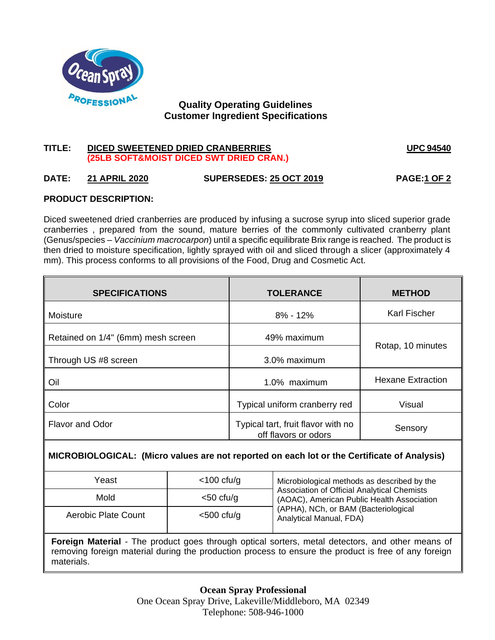

# **Quality Operating Guidelines Customer Ingredient Specifications**

# **TITLE: DICED SWEETENED DRIED CRANBERRIES UPC 94540 (25LB SOFT&MOIST DICED SWT DRIED CRAN.)**

# **DATE: 21 APRIL 2020 SUPERSEDES: 25 OCT 2019 PAGE:1 OF 2**

## **PRODUCT DESCRIPTION:**

Diced sweetened dried cranberries are produced by infusing a sucrose syrup into sliced superior grade cranberries , prepared from the sound, mature berries of the commonly cultivated cranberry plant (Genus/species – *Vaccinium macrocarpon*) until a specific equilibrate Brix range is reached. The product is then dried to moisture specification, lightly sprayed with oil and sliced through a slicer (approximately 4 mm). This process conforms to all provisions of the Food, Drug and Cosmetic Act.

| <b>SPECIFICATIONS</b>              | <b>TOLERANCE</b>                                                      | <b>METHOD</b>       |  |
|------------------------------------|-----------------------------------------------------------------------|---------------------|--|
| Moisture                           | $8\% - 12\%$                                                          | <b>Karl Fischer</b> |  |
| Retained on 1/4" (6mm) mesh screen | 49% maximum                                                           | Rotap, 10 minutes   |  |
| Through US #8 screen               | 3.0% maximum                                                          |                     |  |
| Oil                                | <b>Hexane Extraction</b><br>1.0% maximum                              |                     |  |
| Color                              | Typical uniform cranberry red<br>Visual                               |                     |  |
| <b>Flavor and Odor</b>             | Typical tart, fruit flavor with no<br>Sensory<br>off flavors or odors |                     |  |

## **MICROBIOLOGICAL: (Micro values are not reported on each lot or the Certificate of Analysis)**

| Yeast               | $<$ 100 cfu/g | Microbiological methods as described by the                                                      |  |
|---------------------|---------------|--------------------------------------------------------------------------------------------------|--|
| Mold                | $<$ 50 cfu/g  | <b>Association of Official Analytical Chemists</b><br>(AOAC), American Public Health Association |  |
| Aerobic Plate Count | $<$ 500 cfu/g | (APHA), NCh, or BAM (Bacteriological<br>Analytical Manual, FDA)                                  |  |

**Foreign Material** - The product goes through optical sorters, metal detectors, and other means of removing foreign material during the production process to ensure the product is free of any foreign materials.